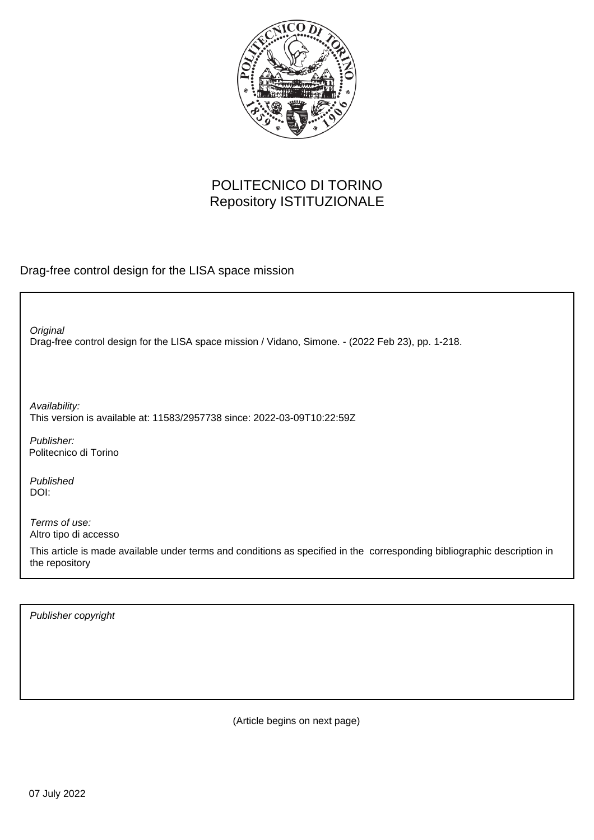

## POLITECNICO DI TORINO Repository ISTITUZIONALE

Drag-free control design for the LISA space mission

Drag-free control design for the LISA space mission / Vidano, Simone. - (2022 Feb 23), pp. 1-218. **Original** 

Availability: This version is available at: 11583/2957738 since: 2022-03-09T10:22:59Z

Publisher: Politecnico di Torino

Published DOI:

Terms of use: Altro tipo di accesso

This article is made available under terms and conditions as specified in the corresponding bibliographic description in the repository

Publisher copyright

(Article begins on next page)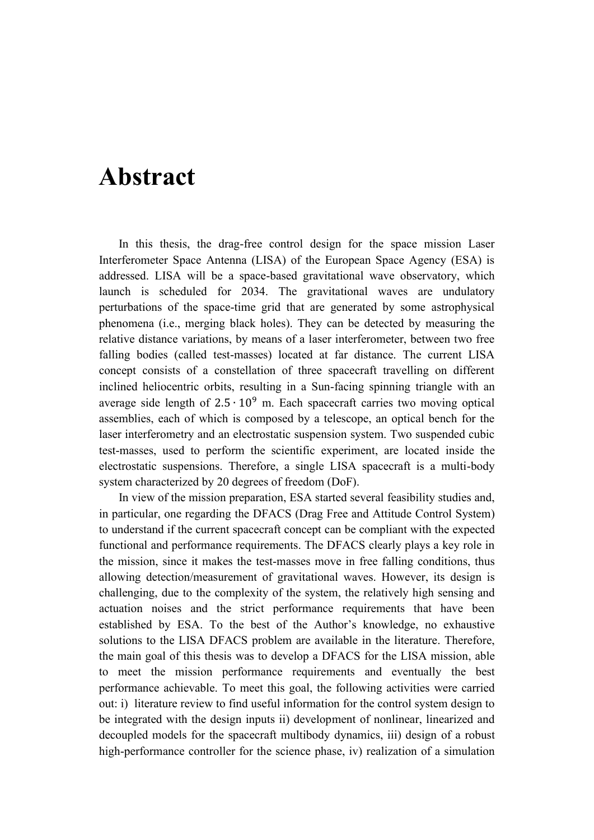## **Abstract**

In this thesis, the drag-free control design for the space mission Laser Interferometer Space Antenna (LISA) of the European Space Agency (ESA) is addressed. LISA will be a space-based gravitational wave observatory, which launch is scheduled for 2034. The gravitational waves are undulatory perturbations of the space-time grid that are generated by some astrophysical phenomena (i.e., merging black holes). They can be detected by measuring the relative distance variations, by means of a laser interferometer, between two free falling bodies (called test-masses) located at far distance. The current LISA concept consists of a constellation of three spacecraft travelling on different inclined heliocentric orbits, resulting in a Sun-facing spinning triangle with an average side length of  $2.5 \cdot 10^9$  m. Each spacecraft carries two moving optical assemblies, each of which is composed by a telescope, an optical bench for the laser interferometry and an electrostatic suspension system. Two suspended cubic test-masses, used to perform the scientific experiment, are located inside the electrostatic suspensions. Therefore, a single LISA spacecraft is a multi-body system characterized by 20 degrees of freedom (DoF).

In view of the mission preparation, ESA started several feasibility studies and, in particular, one regarding the DFACS (Drag Free and Attitude Control System) to understand if the current spacecraft concept can be compliant with the expected functional and performance requirements. The DFACS clearly plays a key role in the mission, since it makes the test-masses move in free falling conditions, thus allowing detection/measurement of gravitational waves. However, its design is challenging, due to the complexity of the system, the relatively high sensing and actuation noises and the strict performance requirements that have been established by ESA. To the best of the Author's knowledge, no exhaustive solutions to the LISA DFACS problem are available in the literature. Therefore, the main goal of this thesis was to develop a DFACS for the LISA mission, able to meet the mission performance requirements and eventually the best performance achievable. To meet this goal, the following activities were carried out: i) literature review to find useful information for the control system design to be integrated with the design inputs ii) development of nonlinear, linearized and decoupled models for the spacecraft multibody dynamics, iii) design of a robust high-performance controller for the science phase, iv) realization of a simulation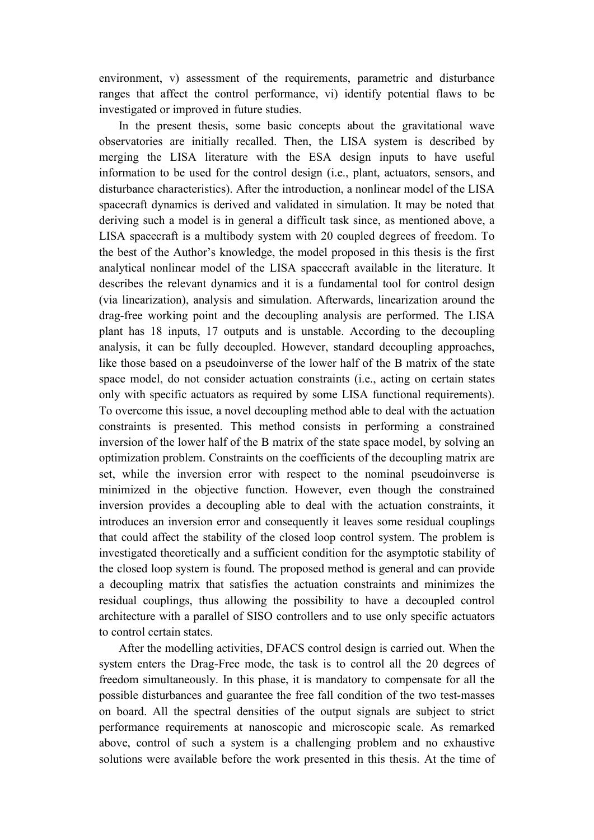environment, v) assessment of the requirements, parametric and disturbance ranges that affect the control performance, vi) identify potential flaws to be investigated or improved in future studies.

In the present thesis, some basic concepts about the gravitational wave observatories are initially recalled. Then, the LISA system is described by merging the LISA literature with the ESA design inputs to have useful information to be used for the control design (i.e., plant, actuators, sensors, and disturbance characteristics). After the introduction, a nonlinear model of the LISA spacecraft dynamics is derived and validated in simulation. It may be noted that deriving such a model is in general a difficult task since, as mentioned above, a LISA spacecraft is a multibody system with 20 coupled degrees of freedom. To the best of the Author's knowledge, the model proposed in this thesis is the first analytical nonlinear model of the LISA spacecraft available in the literature. It describes the relevant dynamics and it is a fundamental tool for control design (via linearization), analysis and simulation. Afterwards, linearization around the drag-free working point and the decoupling analysis are performed. The LISA plant has 18 inputs, 17 outputs and is unstable. According to the decoupling analysis, it can be fully decoupled. However, standard decoupling approaches, like those based on a pseudoinverse of the lower half of the B matrix of the state space model, do not consider actuation constraints (i.e., acting on certain states only with specific actuators as required by some LISA functional requirements). To overcome this issue, a novel decoupling method able to deal with the actuation constraints is presented. This method consists in performing a constrained inversion of the lower half of the B matrix of the state space model, by solving an optimization problem. Constraints on the coefficients of the decoupling matrix are set, while the inversion error with respect to the nominal pseudoinverse is minimized in the objective function. However, even though the constrained inversion provides a decoupling able to deal with the actuation constraints, it introduces an inversion error and consequently it leaves some residual couplings that could affect the stability of the closed loop control system. The problem is investigated theoretically and a sufficient condition for the asymptotic stability of the closed loop system is found. The proposed method is general and can provide a decoupling matrix that satisfies the actuation constraints and minimizes the residual couplings, thus allowing the possibility to have a decoupled control architecture with a parallel of SISO controllers and to use only specific actuators to control certain states.

After the modelling activities, DFACS control design is carried out. When the system enters the Drag-Free mode, the task is to control all the 20 degrees of freedom simultaneously. In this phase, it is mandatory to compensate for all the possible disturbances and guarantee the free fall condition of the two test-masses on board. All the spectral densities of the output signals are subject to strict performance requirements at nanoscopic and microscopic scale. As remarked above, control of such a system is a challenging problem and no exhaustive solutions were available before the work presented in this thesis. At the time of